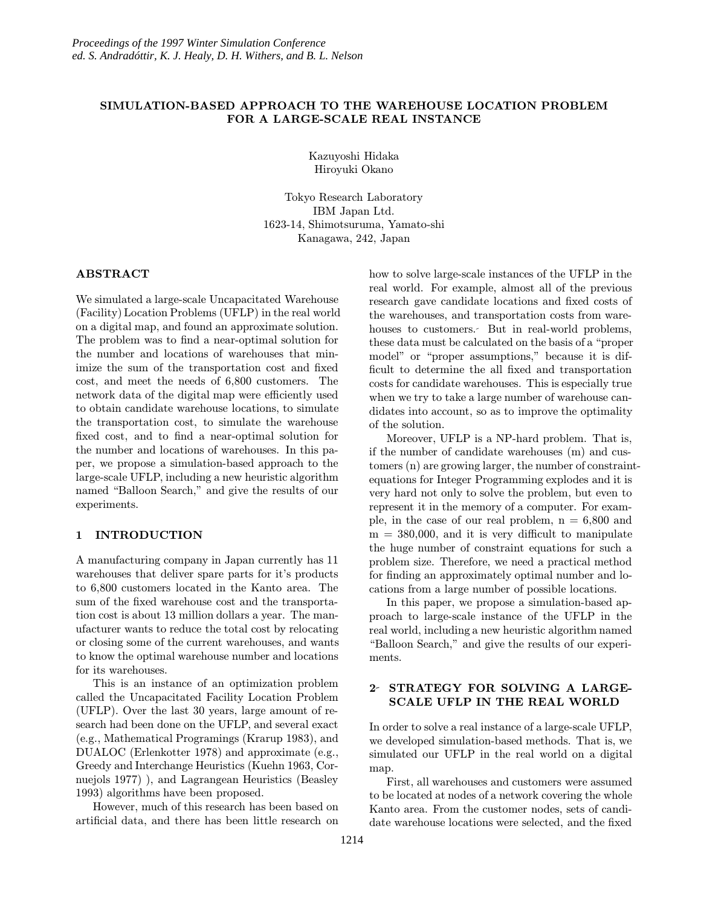# SIMULATION-BASED APPROACH TO THE WAREHOUSE LOCATION PROBLEM FOR A LARGE-SCALE REAL INSTANCE

Kazuyoshi Hidaka Hiroyuki Okano

Tokyo Research Laboratory IBM Japan Ltd. 1623-14, Shimotsuruma, Yamato-shi Kanagawa, 242, Japan

## ABSTRACT

We simulated a large-scale Uncapacitated Warehouse (Facility) Location Problems (UFLP) in the real world on a digital map, and found an approximate solution. The problem was to find a near-optimal solution for the number and locations of warehouses that minimize the sum of the transportation cost and fixed cost, and meet the needs of 6,800 customers. The network data of the digital map were efficiently used to obtain candidate warehouse locations, to simulate the transportation cost, to simulate the warehouse fixed cost, and to find a near-optimal solution for the number and locations of warehouses. In this paper, we propose a simulation-based approach to the large-scale UFLP, including a new heuristic algorithm named "Balloon Search," and give the results of our experiments.

# 1 INTRODUCTION

A manufacturing company in Japan currently has 11 warehouses that deliver spare parts for it's products to 6,800 customers located in the Kanto area. The sum of the fixed warehouse cost and the transportation cost is about 13 million dollars a year. The manufacturer wants to reduce the total cost by relocating or closing some of the current warehouses, and wants to know the optimal warehouse number and locations for its warehouses.

This is an instance of an optimization problem called the Uncapacitated Facility Location Problem (UFLP). Over the last 30 years, large amount of research had been done on the UFLP, and several exact (e.g., Mathematical Programings (Krarup 1983), and DUALOC (Erlenkotter 1978) and approximate (e.g., Greedy and Interchange Heuristics (Kuehn 1963, Cornuejols 1977) ), and Lagrangean Heuristics (Beasley 1993) algorithms have been proposed.

However, much of this research has been based on artificial data, and there has been little research on how to solve large-scale instances of the UFLP in the real world. For example, almost all of the previous research gave candidate locations and fixed costs of the warehouses, and transportation costs from warehouses to customers. But in real-world problems, these data must be calculated on the basis of a "proper model" or "proper assumptions," because it is difficult to determine the all fixed and transportation costs for candidate warehouses. This is especially true when we try to take a large number of warehouse candidates into account, so as to improve the optimality of the solution.

Moreover, UFLP is a NP-hard problem. That is, if the number of candidate warehouses (m) and customers (n) are growing larger, the number of constraintequations for Integer Programming explodes and it is very hard not only to solve the problem, but even to represent it in the memory of a computer. For example, in the case of our real problem,  $n = 6,800$  and  $m = 380,000$ , and it is very difficult to manipulate the huge number of constraint equations for such a problem size. Therefore, we need a practical method for finding an approximately optimal number and locations from a large number of possible locations.

In this paper, we propose a simulation-based approach to large-scale instance of the UFLP in the real world, including a new heuristic algorithm named "Balloon Search," and give the results of our experiments.

# 2 STRATEGY FOR SOLVING A LARGE-SCALE UFLP IN THE REAL WORLD

In order to solve a real instance of a large-scale UFLP, we developed simulation-based methods. That is, we simulated our UFLP in the real world on a digital map.

First, all warehouses and customers were assumed to be located at nodes of a network covering the whole Kanto area. From the customer nodes, sets of candidate warehouse locations were selected, and the fixed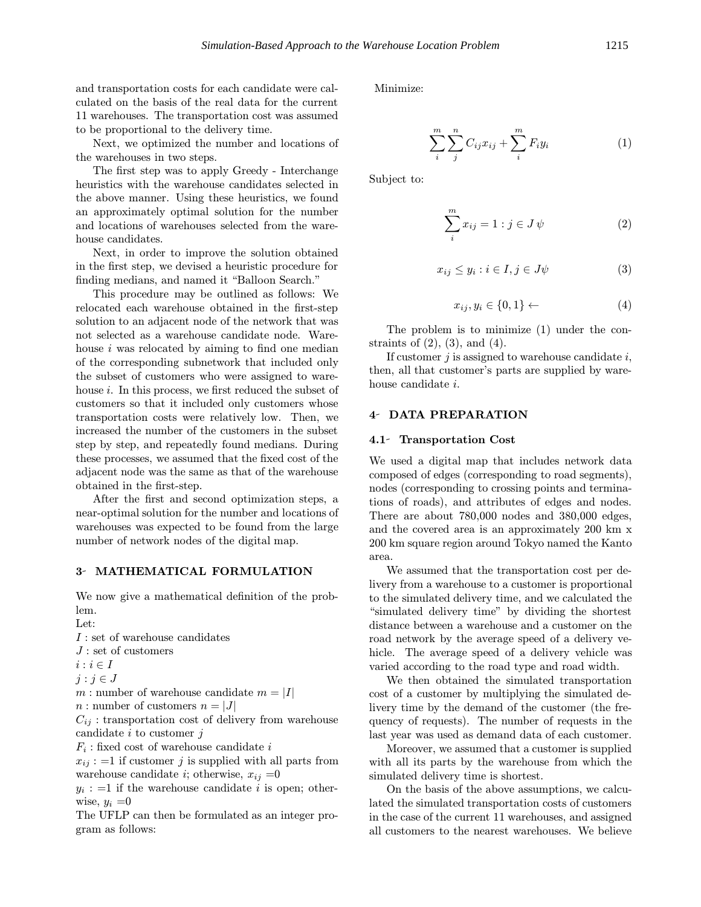and transportation costs for each candidate were calculated on the basis of the real data for the current 11 warehouses. The transportation cost was assumed to be proportional to the delivery time.

Next, we optimized the number and locations of the warehouses in two steps.

The first step was to apply Greedy - Interchange heuristics with the warehouse candidates selected in the above manner. Using these heuristics, we found an approximately optimal solution for the number and locations of warehouses selected from the warehouse candidates.

Next, in order to improve the solution obtained in the first step, we devised a heuristic procedure for finding medians, and named it "Balloon Search."

This procedure may be outlined as follows: We relocated each warehouse obtained in the first-step solution to an adjacent node of the network that was not selected as a warehouse candidate node. Warehouse  $i$  was relocated by aiming to find one median of the corresponding subnetwork that included only the subset of customers who were assigned to warehouse  $i$ . In this process, we first reduced the subset of customers so that it included only customers whose transportation costs were relatively low. Then, we increased the number of the customers in the subset step by step, and repeatedly found medians. During these processes, we assumed that the fixed cost of the adjacent node was the same as that of the warehouse obtained in the first-step.

After the first and second optimization steps, a near-optimal solution for the number and locations of warehouses was expected to be found from the large number of network nodes of the digital map.

#### 3- MATHEMATICAL FORMULATION

We now give a mathematical definition of the problem.

Let: I : set of warehouse candidates  $J$ : set of customers  $i : i \in I$  $j : j \in J$ m : number of warehouse candidate  $m = |I|$  $n:$  number of customers  $n = |J|$  $C_{ij}$ : transportation cost of delivery from warehouse candidate  $i$  to customer  $j$  $F_i$ : fixed cost of warehouse candidate i  $x_{ij}$ : =1 if customer j is supplied with all parts from warehouse candidate *i*; otherwise,  $x_{ij} = 0$ 

 $y_i := 1$  if the warehouse candidate i is open; otherwise,  $y_i = 0$ 

The UFLP can then be formulated as an integer program as follows:

Minimize:

$$
\sum_{i}^{m} \sum_{j}^{n} C_{ij} x_{ij} + \sum_{i}^{m} F_{i} y_{i}
$$
 (1)

Subject to:

$$
\sum_{i}^{m} x_{ij} = 1 : j \in J \psi \tag{2}
$$

$$
x_{ij} \le y_i : i \in I, j \in J\psi \tag{3}
$$

$$
x_{ij}, y_i \in \{0, 1\} \leftarrow \tag{4}
$$

The problem is to minimize (1) under the constraints of  $(2)$ ,  $(3)$ , and  $(4)$ .

If customer  $j$  is assigned to warehouse candidate  $i$ , then, all that customer's parts are supplied by warehouse candidate i.

## 4- DATA PREPARATION

#### 4.1 Transportation Cost

We used a digital map that includes network data composed of edges (corresponding to road segments), nodes (corresponding to crossing points and terminations of roads), and attributes of edges and nodes. There are about 780,000 nodes and 380,000 edges, and the covered area is an approximately 200 km x 200 km square region around Tokyo named the Kanto area.

We assumed that the transportation cost per delivery from a warehouse to a customer is proportional to the simulated delivery time, and we calculated the "simulated delivery time" by dividing the shortest distance between a warehouse and a customer on the road network by the average speed of a delivery vehicle. The average speed of a delivery vehicle was varied according to the road type and road width.

We then obtained the simulated transportation cost of a customer by multiplying the simulated delivery time by the demand of the customer (the frequency of requests). The number of requests in the last year was used as demand data of each customer.

Moreover, we assumed that a customer is supplied with all its parts by the warehouse from which the simulated delivery time is shortest.

On the basis of the above assumptions, we calculated the simulated transportation costs of customers in the case of the current 11 warehouses, and assigned all customers to the nearest warehouses. We believe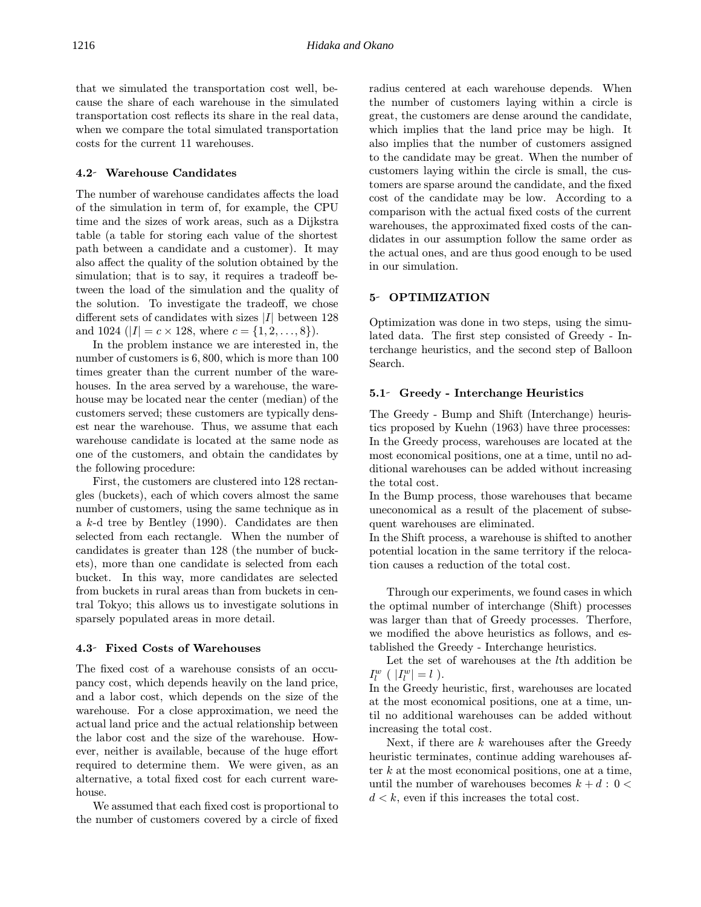that we simulated the transportation cost well, because the share of each warehouse in the simulated transportation cost reflects its share in the real data, when we compare the total simulated transportation costs for the current 11 warehouses.

#### 4.2 Warehouse Candidates

The number of warehouse candidates affects the load of the simulation in term of, for example, the CPU time and the sizes of work areas, such as a Dijkstra table (a table for storing each value of the shortest path between a candidate and a customer). It may also affect the quality of the solution obtained by the simulation; that is to say, it requires a tradeoff between the load of the simulation and the quality of the solution. To investigate the tradeoff, we chose different sets of candidates with sizes  $|I|$  between 128 and 1024 ( $|I| = c \times 128$ , where  $c = \{1, 2, ..., 8\}$ ).

In the problem instance we are interested in, the number of customers is 6, 800, which is more than 100 times greater than the current number of the warehouses. In the area served by a warehouse, the warehouse may be located near the center (median) of the customers served; these customers are typically densest near the warehouse. Thus, we assume that each warehouse candidate is located at the same node as one of the customers, and obtain the candidates by the following procedure:

First, the customers are clustered into 128 rectangles (buckets), each of which covers almost the same number of customers, using the same technique as in a k-d tree by Bentley (1990). Candidates are then selected from each rectangle. When the number of candidates is greater than 128 (the number of buckets), more than one candidate is selected from each bucket. In this way, more candidates are selected from buckets in rural areas than from buckets in central Tokyo; this allows us to investigate solutions in sparsely populated areas in more detail.

#### 4.3 Fixed Costs of Warehouses

The fixed cost of a warehouse consists of an occupancy cost, which depends heavily on the land price, and a labor cost, which depends on the size of the warehouse. For a close approximation, we need the actual land price and the actual relationship between the labor cost and the size of the warehouse. However, neither is available, because of the huge effort required to determine them. We were given, as an alternative, a total fixed cost for each current warehouse.

We assumed that each fixed cost is proportional to the number of customers covered by a circle of fixed radius centered at each warehouse depends. When the number of customers laying within a circle is great, the customers are dense around the candidate, which implies that the land price may be high. It also implies that the number of customers assigned to the candidate may be great. When the number of customers laying within the circle is small, the customers are sparse around the candidate, and the fixed cost of the candidate may be low. According to a comparison with the actual fixed costs of the current warehouses, the approximated fixed costs of the candidates in our assumption follow the same order as the actual ones, and are thus good enough to be used in our simulation.

## 5- OPTIMIZATION

Optimization was done in two steps, using the simulated data. The first step consisted of Greedy - Interchange heuristics, and the second step of Balloon Search.

#### 5.1 Greedy - Interchange Heuristics

The Greedy - Bump and Shift (Interchange) heuristics proposed by Kuehn (1963) have three processes: In the Greedy process, warehouses are located at the most economical positions, one at a time, until no additional warehouses can be added without increasing the total cost.

In the Bump process, those warehouses that became uneconomical as a result of the placement of subsequent warehouses are eliminated.

In the Shift process, a warehouse is shifted to another potential location in the same territory if the relocation causes a reduction of the total cost.

Through our experiments, we found cases in which the optimal number of interchange (Shift) processes was larger than that of Greedy processes. Therfore, we modified the above heuristics as follows, and established the Greedy - Interchange heuristics.

Let the set of warehouses at the lth addition be  $I_l^w$  (  $|I_l^w|=l$  ).

In the Greedy heuristic, first, warehouses are located at the most economical positions, one at a time, until no additional warehouses can be added without increasing the total cost.

Next, if there are  $k$  warehouses after the Greedy heuristic terminates, continue adding warehouses after  $k$  at the most economical positions, one at a time, until the number of warehouses becomes  $k + d : 0 <$  $d < k$ , even if this increases the total cost.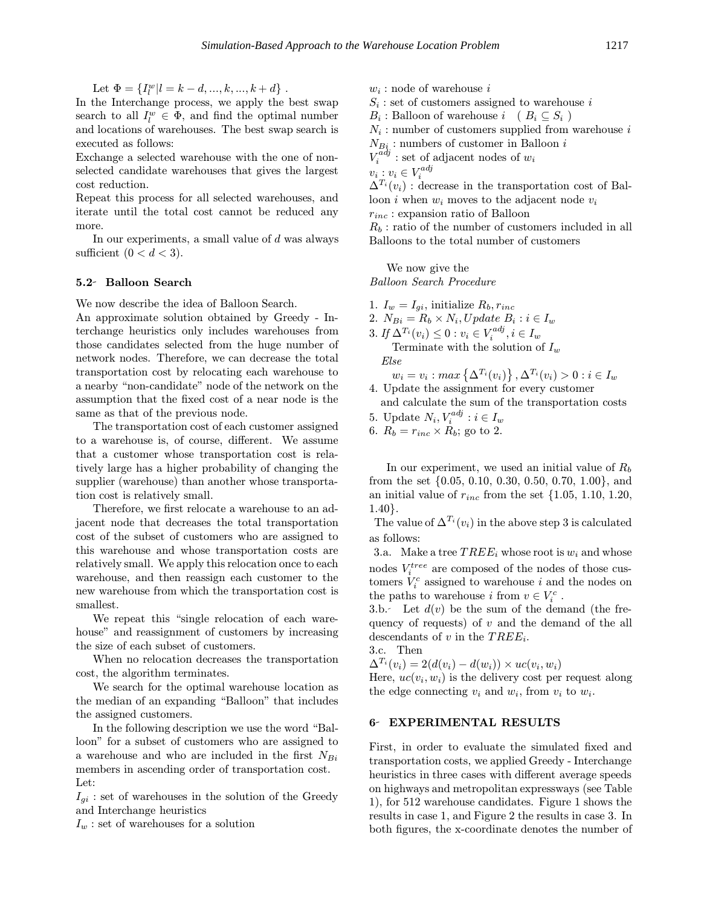Let  $\Phi = \{I_l^w | l = k - d, ..., k, ..., k + d\}$ .

In the Interchange process, we apply the best swap search to all  $I_l^w \in \Phi$ , and find the optimal number and locations of warehouses. The best swap search is executed as follows:

Exchange a selected warehouse with the one of nonselected candidate warehouses that gives the largest cost reduction.

Repeat this process for all selected warehouses, and iterate until the total cost cannot be reduced any more.

In our experiments, a small value of  $d$  was always sufficient  $(0 < d < 3)$ .

#### 5.2 Balloon Search

We now describe the idea of Balloon Search.

An approximate solution obtained by Greedy - Interchange heuristics only includes warehouses from those candidates selected from the huge number of network nodes. Therefore, we can decrease the total transportation cost by relocating each warehouse to a nearby "non-candidate" node of the network on the assumption that the fixed cost of a near node is the same as that of the previous node.

The transportation cost of each customer assigned to a warehouse is, of course, different. We assume that a customer whose transportation cost is relatively large has a higher probability of changing the supplier (warehouse) than another whose transportation cost is relatively small.

Therefore, we first relocate a warehouse to an adjacent node that decreases the total transportation cost of the subset of customers who are assigned to this warehouse and whose transportation costs are relatively small. We apply this relocation once to each warehouse, and then reassign each customer to the new warehouse from which the transportation cost is smallest.

We repeat this "single relocation of each warehouse" and reassignment of customers by increasing the size of each subset of customers.

When no relocation decreases the transportation cost, the algorithm terminates.

We search for the optimal warehouse location as the median of an expanding "Balloon" that includes the assigned customers.

In the following description we use the word "Balloon" for a subset of customers who are assigned to a warehouse and who are included in the first  $N_{Bi}$ members in ascending order of transportation cost. Let:

 $I_{qi}$ : set of warehouses in the solution of the Greedy and Interchange heuristics

 $I_w$ : set of warehouses for a solution

 $w_i$ : node of warehouse  $i$ 

 $S_i$ : set of customers assigned to warehouse i

 $B_i$ : Balloon of warehouse  $i \in B_i \subseteq S_i$ )

 $N_i$ : number of customers supplied from warehouse i

 $N_{Bi}$ : numbers of customer in Balloon i

 $V_i^{adj}$  : set of adjacent nodes of  $w_i$ 

 $v_i : v_i \in V_i^{adj}$ 

 $\Delta^{T_i}(v_i)$ : decrease in the transportation cost of Balloon i when  $w_i$  moves to the adjacent node  $v_i$  $r_{inc}$ : expansion ratio of Balloon

 $R_b$ : ratio of the number of customers included in all Balloons to the total number of customers

We now give the Balloon Search Procedure

- 1.  $I_w = I_{gi}$ , initialize  $R_b, r_{inc}$
- 2.  $N_{Bi} = R_b \times N_i$ , Update  $B_i : i \in I_w$

3. If  $\Delta^{T_i}(v_i) \leq 0$  :  $v_i \in V_i^{adj}, i \in I_w$ 

Terminate with the solution of  $I_w$ Else

 $w_i = v_i : max\left\{ \Delta^{T_i}(v_i) \right\}, \Delta^{T_i}(v_i) > 0 : i \in I_w$ 

- 4. Update the assignment for every customer and calculate the sum of the transportation costs
- 5. Update  $N_i, V_i^{adj}: i \in I_w$
- 6.  $R_b = r_{inc} \times R_b$ ; go to 2.

In our experiment, we used an initial value of  $R_b$ from the set {0.05, 0.10, 0.30, 0.50, 0.70, 1.00}, and an initial value of  $r_{inc}$  from the set  $\{1.05, 1.10, 1.20, \ldots\}$ 1.40}.

The value of  $\Delta^{T_i}(v_i)$  in the above step 3 is calculated as follows:

3.a. Make a tree  $TREE_i$  whose root is  $w_i$  and whose nodes  $V_i^{tree}$  are composed of the nodes of those customers  $V_i^c$  assigned to warehouse i and the nodes on the paths to warehouse  $i$  from  $v \in V_i^c$ .

3.b. Let  $d(v)$  be the sum of the demand (the frequency of requests) of  $v$  and the demand of the all descendants of v in the  $TREE_i$ .

3.c. Then

 $\Delta^{T_i}(v_i) = 2(d(v_i) - d(w_i)) \times uc(v_i, w_i)$ 

Here,  $uc(v_i, w_i)$  is the delivery cost per request along the edge connecting  $v_i$  and  $w_i$ , from  $v_i$  to  $w_i$ .

#### 6 EXPERIMENTAL RESULTS

First, in order to evaluate the simulated fixed and transportation costs, we applied Greedy - Interchange heuristics in three cases with different average speeds on highways and metropolitan expressways (see Table 1), for 512 warehouse candidates. Figure 1 shows the results in case 1, and Figure 2 the results in case 3. In both figures, the x-coordinate denotes the number of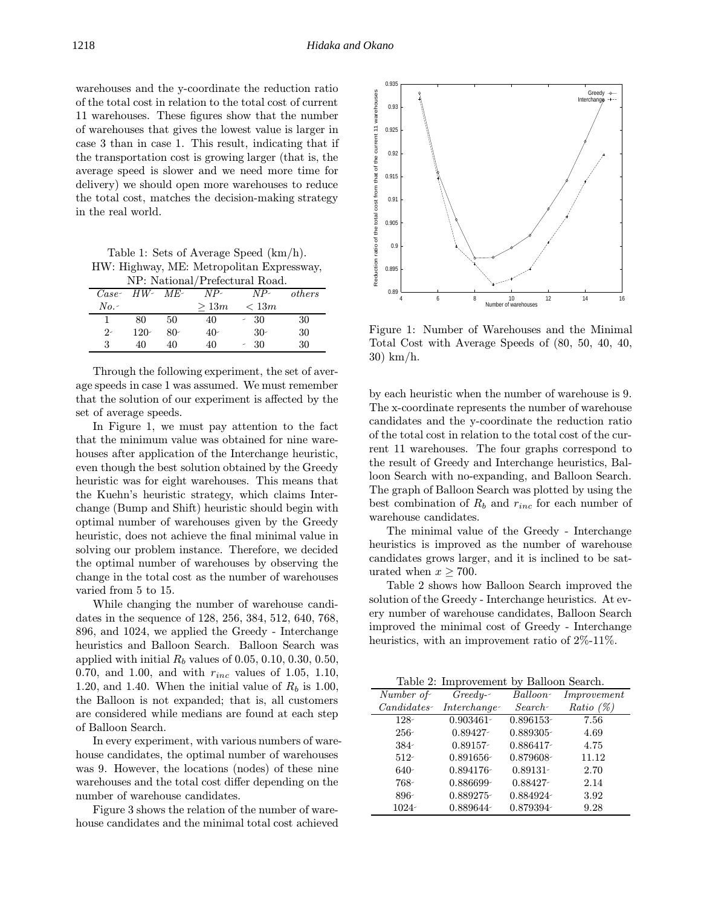warehouses and the y-coordinate the reduction ratio of the total cost in relation to the total cost of current 11 warehouses. These figures show that the number of warehouses that gives the lowest value is larger in case 3 than in case 1. This result, indicating that if the transportation cost is growing larger (that is, the average speed is slower and we need more time for delivery) we should open more warehouses to reduce the total cost, matches the decision-making strategy in the real world.

Table 1: Sets of Average Speed (km/h). HW: Highway, ME: Metropolitan Expressway,

| NP: National/Prefectural Road. |        |       |       |       |        |  |
|--------------------------------|--------|-------|-------|-------|--------|--|
| $Case-$                        | HW-ME- |       | $NP-$ | $NP-$ | others |  |
| $No.~\neg$                     |        |       | >13m  | < 13m |        |  |
|                                | 80     | 50    | 40    | - 30  | 30     |  |
| $2 -$                          | $120-$ | $80-$ | $40-$ | $30-$ | 30     |  |
| 3                              | 40     | 40    | 40    | - 30  | 30     |  |

Through the following experiment, the set of average speeds in case 1 was assumed. We must remember that the solution of our experiment is affected by the set of average speeds.

In Figure 1, we must pay attention to the fact that the minimum value was obtained for nine warehouses after application of the Interchange heuristic, even though the best solution obtained by the Greedy heuristic was for eight warehouses. This means that the Kuehn's heuristic strategy, which claims Interchange (Bump and Shift) heuristic should begin with optimal number of warehouses given by the Greedy heuristic, does not achieve the final minimal value in solving our problem instance. Therefore, we decided the optimal number of warehouses by observing the change in the total cost as the number of warehouses varied from 5 to 15.

While changing the number of warehouse candidates in the sequence of 128, 256, 384, 512, 640, 768, 896, and 1024, we applied the Greedy - Interchange heuristics and Balloon Search. Balloon Search was applied with initial  $R_b$  values of 0.05, 0.10, 0.30, 0.50, 0.70, and 1.00, and with  $r_{inc}$  values of 1.05, 1.10, 1.20, and 1.40. When the initial value of  $R_b$  is 1.00, the Balloon is not expanded; that is, all customers are considered while medians are found at each step of Balloon Search.

In every experiment, with various numbers of warehouse candidates, the optimal number of warehouses was 9. However, the locations (nodes) of these nine warehouses and the total cost differ depending on the number of warehouse candidates.

Figure 3 shows the relation of the number of warehouse candidates and the minimal total cost achieved



Figure 1: Number of Warehouses and the Minimal Total Cost with Average Speeds of (80, 50, 40, 40, 30) km/h.

by each heuristic when the number of warehouse is 9. The x-coordinate represents the number of warehouse candidates and the y-coordinate the reduction ratio of the total cost in relation to the total cost of the current 11 warehouses. The four graphs correspond to the result of Greedy and Interchange heuristics, Balloon Search with no-expanding, and Balloon Search. The graph of Balloon Search was plotted by using the best combination of  $R_b$  and  $r_{inc}$  for each number of warehouse candidates.

The minimal value of the Greedy - Interchange heuristics is improved as the number of warehouse candidates grows larger, and it is inclined to be saturated when  $x \ge 700$ .

Table 2 shows how Balloon Search improved the solution of the Greedy - Interchange heuristics. At every number of warehouse candidates, Balloon Search improved the minimal cost of Greedy - Interchange heuristics, with an improvement ratio of  $2\%$ -11%.

Table 2: Improvement by Balloon Search.

| $10000 - 10000$         |              |              |              |  |  |
|-------------------------|--------------|--------------|--------------|--|--|
| $\overline{Number\ of}$ | $Greedy-$    | Balloon-     | Improvement  |  |  |
| $C and idates -$        | Interchange- | $Search-$    | Ratio $(\%)$ |  |  |
| $128 -$                 | $0.903461 -$ | 0.896153-    | 7.56         |  |  |
| $256 -$                 | $0.89427 -$  | $0.889305 -$ | 4.69         |  |  |
| $384 -$                 | 0.89157-     | 0.886417-    | 4.75         |  |  |
| $512 -$                 | $0.891656 -$ | 0.879608-    | 11.12        |  |  |
| $640-$                  | $0.894176 -$ | $0.89131 -$  | 2.70         |  |  |
| 768-                    | 0.886699-    | 0.88427-     | 2.14         |  |  |
| $896-$                  | 0.889275-    | 0.884924     | 3.92         |  |  |
| $1024 -$                | 0.889644     | 0.879394-    | 9.28         |  |  |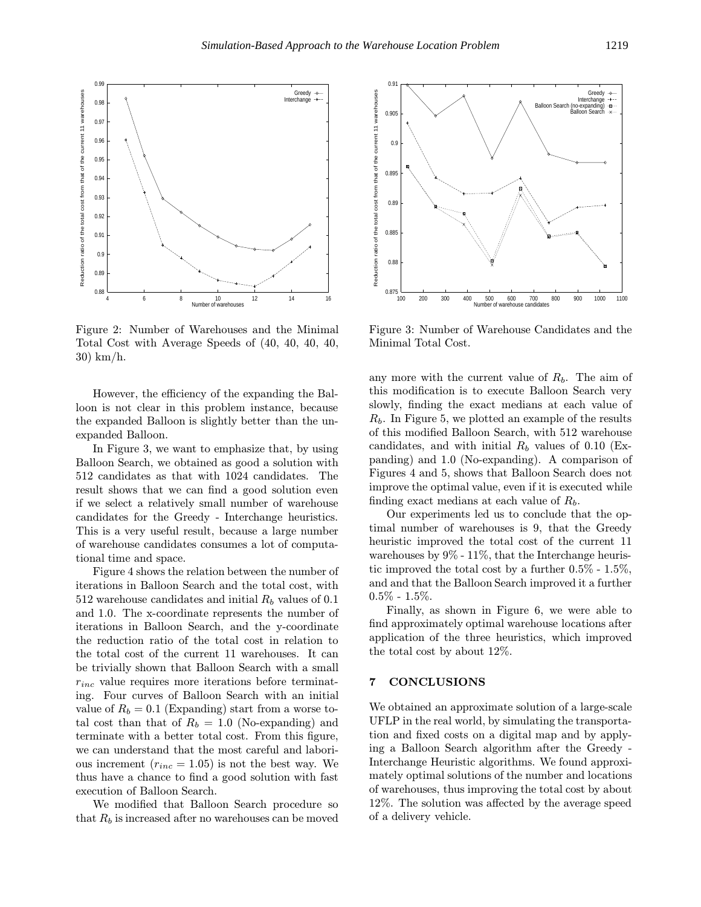

Figure 2: Number of Warehouses and the Minimal Total Cost with Average Speeds of (40, 40, 40, 40, 30) km/h.

However, the efficiency of the expanding the Balloon is not clear in this problem instance, because the expanded Balloon is slightly better than the unexpanded Balloon.

In Figure 3, we want to emphasize that, by using Balloon Search, we obtained as good a solution with 512 candidates as that with 1024 candidates. The result shows that we can find a good solution even if we select a relatively small number of warehouse candidates for the Greedy - Interchange heuristics. This is a very useful result, because a large number of warehouse candidates consumes a lot of computational time and space.

Figure 4 shows the relation between the number of iterations in Balloon Search and the total cost, with 512 warehouse candidates and initial  $R_b$  values of 0.1 and 1.0. The x-coordinate represents the number of iterations in Balloon Search, and the y-coordinate the reduction ratio of the total cost in relation to the total cost of the current 11 warehouses. It can be trivially shown that Balloon Search with a small  $r_{inc}$  value requires more iterations before terminating. Four curves of Balloon Search with an initial value of  $R_b = 0.1$  (Expanding) start from a worse total cost than that of  $R_b = 1.0$  (No-expanding) and terminate with a better total cost. From this figure, we can understand that the most careful and laborious increment  $(r_{inc} = 1.05)$  is not the best way. We thus have a chance to find a good solution with fast execution of Balloon Search.

We modified that Balloon Search procedure so that  $R_b$  is increased after no warehouses can be moved



Figure 3: Number of Warehouse Candidates and the Minimal Total Cost.

any more with the current value of  $R_b$ . The aim of this modification is to execute Balloon Search very slowly, finding the exact medians at each value of  $R<sub>b</sub>$ . In Figure 5, we plotted an example of the results of this modified Balloon Search, with 512 warehouse candidates, and with initial  $R_b$  values of 0.10 (Expanding) and 1.0 (No-expanding). A comparison of Figures 4 and 5, shows that Balloon Search does not improve the optimal value, even if it is executed while finding exact medians at each value of  $R_b$ .

Our experiments led us to conclude that the optimal number of warehouses is 9, that the Greedy heuristic improved the total cost of the current 11 warehouses by  $9\%$  - 11%, that the Interchange heuristic improved the total cost by a further  $0.5\%$  -  $1.5\%$ , and and that the Balloon Search improved it a further  $0.5\% - 1.5\%.$ 

Finally, as shown in Figure 6, we were able to find approximately optimal warehouse locations after application of the three heuristics, which improved the total cost by about 12%.

#### 7 CONCLUSIONS

We obtained an approximate solution of a large-scale UFLP in the real world, by simulating the transportation and fixed costs on a digital map and by applying a Balloon Search algorithm after the Greedy - Interchange Heuristic algorithms. We found approximately optimal solutions of the number and locations of warehouses, thus improving the total cost by about 12%. The solution was affected by the average speed of a delivery vehicle.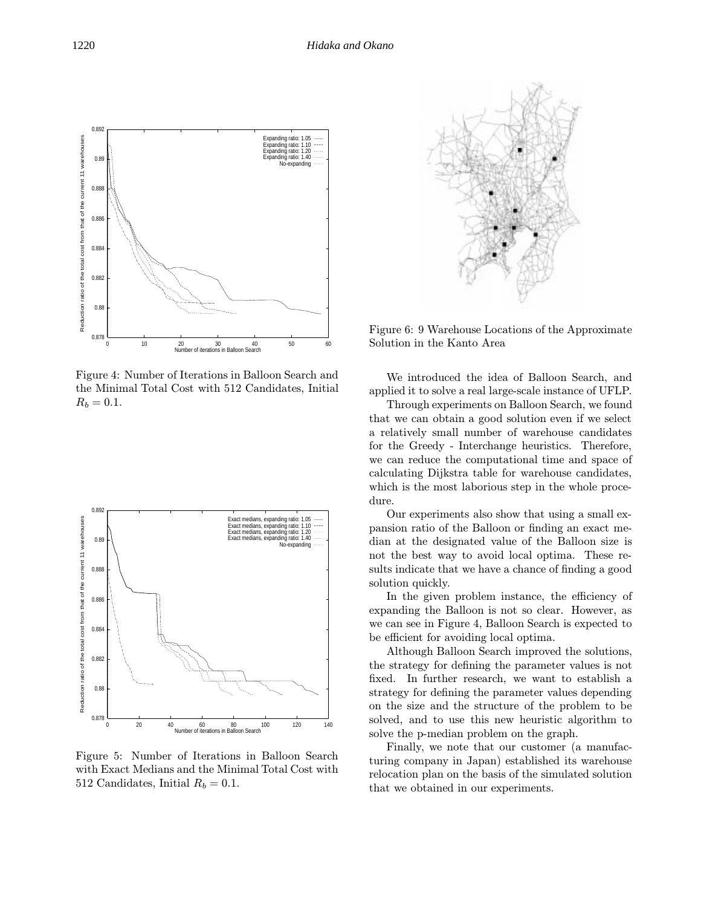

Figure 4: Number of Iterations in Balloon Search and the Minimal Total Cost with 512 Candidates, Initial  $R_b = 0.1.$ 



Figure 5: Number of Iterations in Balloon Search with Exact Medians and the Minimal Total Cost with 512 Candidates, Initial  $R_b = 0.1$ .



Figure 6: 9 Warehouse Locations of the Approximate Solution in the Kanto Area

We introduced the idea of Balloon Search, and applied it to solve a real large-scale instance of UFLP.

Through experiments on Balloon Search, we found that we can obtain a good solution even if we select a relatively small number of warehouse candidates for the Greedy - Interchange heuristics. Therefore, we can reduce the computational time and space of calculating Dijkstra table for warehouse candidates, which is the most laborious step in the whole procedure.

Our experiments also show that using a small expansion ratio of the Balloon or finding an exact median at the designated value of the Balloon size is not the best way to avoid local optima. These results indicate that we have a chance of finding a good solution quickly.

In the given problem instance, the efficiency of expanding the Balloon is not so clear. However, as we can see in Figure 4, Balloon Search is expected to be efficient for avoiding local optima.

Although Balloon Search improved the solutions, the strategy for defining the parameter values is not fixed. In further research, we want to establish a strategy for defining the parameter values depending on the size and the structure of the problem to be solved, and to use this new heuristic algorithm to solve the p-median problem on the graph.

Finally, we note that our customer (a manufacturing company in Japan) established its warehouse relocation plan on the basis of the simulated solution that we obtained in our experiments.